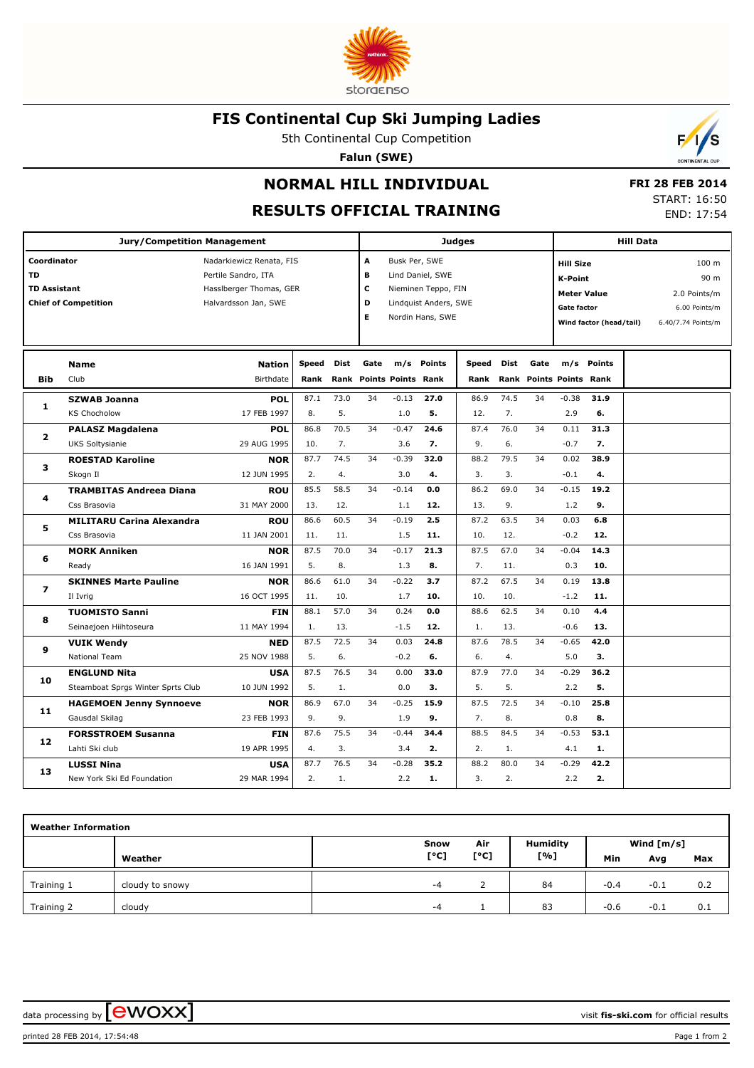

## **FIS Continental Cup Ski Jumping Ladies**

5th Continental Cup Competition

**Falun (SWE)**



## **RESULTS OFFICIAL TRAINING**

 **FRI 28 FEB 2014** START: 16:50

END: 17:54

 $\mathcal{L}$ 

| <b>Jury/Competition Management</b>              |                                                          |                                                                                                    |                      |              |      |                                                                                                                                |            | <b>Judges</b> |                     | <b>Hill Data</b> |                           |                                                                                                                                                                                              |  |  |  |
|-------------------------------------------------|----------------------------------------------------------|----------------------------------------------------------------------------------------------------|----------------------|--------------|------|--------------------------------------------------------------------------------------------------------------------------------|------------|---------------|---------------------|------------------|---------------------------|----------------------------------------------------------------------------------------------------------------------------------------------------------------------------------------------|--|--|--|
| Coordinator<br><b>TD</b><br><b>TD Assistant</b> | <b>Chief of Competition</b>                              | Nadarkiewicz Renata, FIS<br>Pertile Sandro, ITA<br>Hassiberger Thomas, GER<br>Halvardsson Jan, SWE |                      |              |      | A<br>Busk Per, SWE<br>Lind Daniel, SWE<br>в<br>с<br>Nieminen Teppo, FIN<br>D<br>Lindquist Anders, SWE<br>Е<br>Nordin Hans, SWE |            |               |                     |                  |                           | 100 <sub>m</sub><br><b>Hill Size</b><br>90 m<br><b>K-Point</b><br><b>Meter Value</b><br>2.0 Points/m<br><b>Gate factor</b><br>6.00 Points/m<br>Wind factor (head/tail)<br>6.40/7.74 Points/m |  |  |  |
| <b>Bib</b>                                      | <b>Name</b><br>Club                                      | <b>Nation</b><br>Birthdate                                                                         | <b>Speed</b><br>Rank | Dist<br>Rank | Gate | <b>Points Points Rank</b>                                                                                                      | m/s Points | Speed<br>Rank | <b>Dist</b><br>Rank | Gate             | <b>Points Points Rank</b> | m/s Points                                                                                                                                                                                   |  |  |  |
| 1                                               | <b>SZWAB Joanna</b>                                      | <b>POL</b>                                                                                         | 87.1                 | 73.0         | 34   | $-0.13$                                                                                                                        | 27.0       | 86.9          | 74.5                | 34               | $-0.38$                   | 31.9                                                                                                                                                                                         |  |  |  |
|                                                 | <b>KS Chocholow</b>                                      | 17 FEB 1997                                                                                        | 8.                   | 5.           |      | 1.0                                                                                                                            | 5.         | 12.           | 7.                  |                  | 2.9                       | 6.                                                                                                                                                                                           |  |  |  |
| $\overline{2}$<br>з                             | <b>PALASZ Magdalena</b><br><b>UKS Soltysianie</b>        | <b>POL</b><br>29 AUG 1995                                                                          | 86.8<br>10.          | 70.5<br>7.   | 34   | $-0.47$<br>3.6                                                                                                                 | 24.6<br>7. | 87.4<br>9.    | 76.0<br>6.          | 34               | 0.11<br>$-0.7$            | 31.3<br>7.                                                                                                                                                                                   |  |  |  |
|                                                 | <b>ROESTAD Karoline</b>                                  | <b>NOR</b>                                                                                         | 87.7                 | 74.5         | 34   | $-0.39$                                                                                                                        | 32.0       | 88.2          | 79.5                | 34               | 0.02                      | 38.9                                                                                                                                                                                         |  |  |  |
|                                                 | Skogn Il                                                 | 12 JUN 1995                                                                                        | 2.                   | 4.           |      | 3.0                                                                                                                            | 4.         | 3.            | 3.                  |                  | $-0.1$                    | 4.                                                                                                                                                                                           |  |  |  |
| 4                                               | <b>TRAMBITAS Andreea Diana</b>                           | ROU                                                                                                | 85.5                 | 58.5         | 34   | $-0.14$                                                                                                                        | 0.0        | 86.2          | 69.0                | 34               | $-0.15$                   | 19.2                                                                                                                                                                                         |  |  |  |
|                                                 | Css Brasovia                                             | 31 MAY 2000                                                                                        | 13.                  | 12.          |      | 1.1                                                                                                                            | 12.        | 13.           | 9.                  |                  | 1.2                       | 9.                                                                                                                                                                                           |  |  |  |
|                                                 | <b>MILITARU Carina Alexandra</b>                         | ROU                                                                                                | 86.6                 | 60.5         | 34   | $-0.19$                                                                                                                        | 2.5        | 87.2          | 63.5                | 34               | 0.03                      | 6.8                                                                                                                                                                                          |  |  |  |
| 5                                               | Css Brasovia                                             | 11 JAN 2001                                                                                        | 11.                  | 11.          |      | 1.5                                                                                                                            | 11.        | 10.           | 12.                 |                  | $-0.2$                    | 12.                                                                                                                                                                                          |  |  |  |
| 6                                               | <b>MORK Anniken</b>                                      | <b>NOR</b>                                                                                         | 87.5                 | 70.0         | 34   | $-0.17$                                                                                                                        | 21.3       | 87.5          | 67.0                | 34               | $-0.04$                   | 14.3                                                                                                                                                                                         |  |  |  |
|                                                 | Ready                                                    | 16 JAN 1991                                                                                        | 5.                   | 8.           |      | 1.3                                                                                                                            | 8.         | 7.            | 11.                 |                  | 0.3                       | 10.                                                                                                                                                                                          |  |  |  |
| 7                                               | <b>SKINNES Marte Pauline</b>                             | <b>NOR</b>                                                                                         | 86.6                 | 61.0         | 34   | $-0.22$                                                                                                                        | 3.7        | 87.2          | 67.5                | 34               | 0.19                      | 13.8                                                                                                                                                                                         |  |  |  |
|                                                 | Il Ivrig                                                 | 16 OCT 1995                                                                                        | 11.                  | 10.          |      | 1.7                                                                                                                            | 10.        | 10.           | 10.                 |                  | $-1.2$                    | 11.                                                                                                                                                                                          |  |  |  |
| 8                                               | <b>TUOMISTO Sanni</b>                                    | <b>FIN</b>                                                                                         | 88.1                 | 57.0         | 34   | 0.24                                                                                                                           | 0.0        | 88.6          | 62.5                | 34               | 0.10                      | 4.4                                                                                                                                                                                          |  |  |  |
|                                                 | Seinaejoen Hiihtoseura                                   | 11 MAY 1994                                                                                        | 1.                   | 13.          |      | $-1.5$                                                                                                                         | 12.        | 1.            | 13.                 |                  | $-0.6$                    | 13.                                                                                                                                                                                          |  |  |  |
| 9                                               | <b>VUIK Wendy</b>                                        | <b>NED</b>                                                                                         | 87.5                 | 72.5         | 34   | 0.03                                                                                                                           | 24.8       | 87.6          | 78.5                | 34               | $-0.65$                   | 42.0                                                                                                                                                                                         |  |  |  |
|                                                 | <b>National Team</b>                                     | 25 NOV 1988                                                                                        | 5.<br>87.5           | 6.<br>76.5   | 34   | $-0.2$                                                                                                                         | 6.         | 6.            | 4.<br>77.0          | 34               | 5.0                       | 3.<br>36.2                                                                                                                                                                                   |  |  |  |
| 10                                              | <b>ENGLUND Nita</b><br>Steamboat Sprgs Winter Sprts Club | <b>USA</b><br>10 JUN 1992                                                                          | 5.                   | 1.           |      | 0.00<br>0.0                                                                                                                    | 33.0<br>3. | 87.9<br>5.    | 5.                  |                  | $-0.29$<br>2.2            | 5.                                                                                                                                                                                           |  |  |  |
|                                                 | <b>HAGEMOEN Jenny Synnoeve</b>                           | <b>NOR</b>                                                                                         | 86.9                 | 67.0         | 34   | $-0.25$                                                                                                                        | 15.9       | 87.5          | 72.5                | 34               | $-0.10$                   | 25.8                                                                                                                                                                                         |  |  |  |
| 11                                              | Gausdal Skilag                                           | 23 FEB 1993                                                                                        | 9.                   | 9.           |      | 1.9                                                                                                                            | 9.         | 7.            | 8.                  |                  | 0.8                       | 8.                                                                                                                                                                                           |  |  |  |
|                                                 | <b>FORSSTROEM Susanna</b>                                | <b>FIN</b>                                                                                         | 87.6                 | 75.5         | 34   | $-0.44$                                                                                                                        | 34.4       | 88.5          | 84.5                | 34               | $-0.53$                   | 53.1                                                                                                                                                                                         |  |  |  |
| 12                                              | Lahti Ski club                                           | 19 APR 1995                                                                                        | 4.                   | 3.           |      | 3.4                                                                                                                            | 2.         | 2.            | 1.                  |                  | 4.1                       | 1.                                                                                                                                                                                           |  |  |  |
|                                                 | <b>LUSSI Nina</b>                                        | <b>USA</b>                                                                                         | 87.7                 | 76.5         | 34   | $-0.28$                                                                                                                        | 35.2       | 88.2          | 80.0                | 34               | $-0.29$                   | 42.2                                                                                                                                                                                         |  |  |  |
| 13                                              | New York Ski Ed Foundation                               | 29 MAR 1994                                                                                        | 2.                   | 1.           |      | 2.2                                                                                                                            | 1.         | 3.            | 2.                  |                  | 2.2                       | 2.                                                                                                                                                                                           |  |  |  |
|                                                 |                                                          |                                                                                                    |                      |              |      |                                                                                                                                |            |               |                     |                  |                           |                                                                                                                                                                                              |  |  |  |

| <b>Weather Information</b> |                 |      |      |                 |        |              |     |  |  |  |  |
|----------------------------|-----------------|------|------|-----------------|--------|--------------|-----|--|--|--|--|
|                            |                 | Snow | Air  | <b>Humidity</b> |        | Wind $[m/s]$ |     |  |  |  |  |
|                            | Weather         | [°C] | [°C] | [%]             | Min    | Avg          | Max |  |  |  |  |
| Training 1                 | cloudy to snowy | $-4$ |      | 84              | $-0.4$ | $-0.1$       | 0.2 |  |  |  |  |
| Training 2                 | cloudy          | $-4$ |      | 83              | $-0.6$ | $-0.1$       | 0.1 |  |  |  |  |

data processing by **CWOXX**  $\blacksquare$ 

printed 28 FEB 2014, 17:54:48 Page 1 from 2